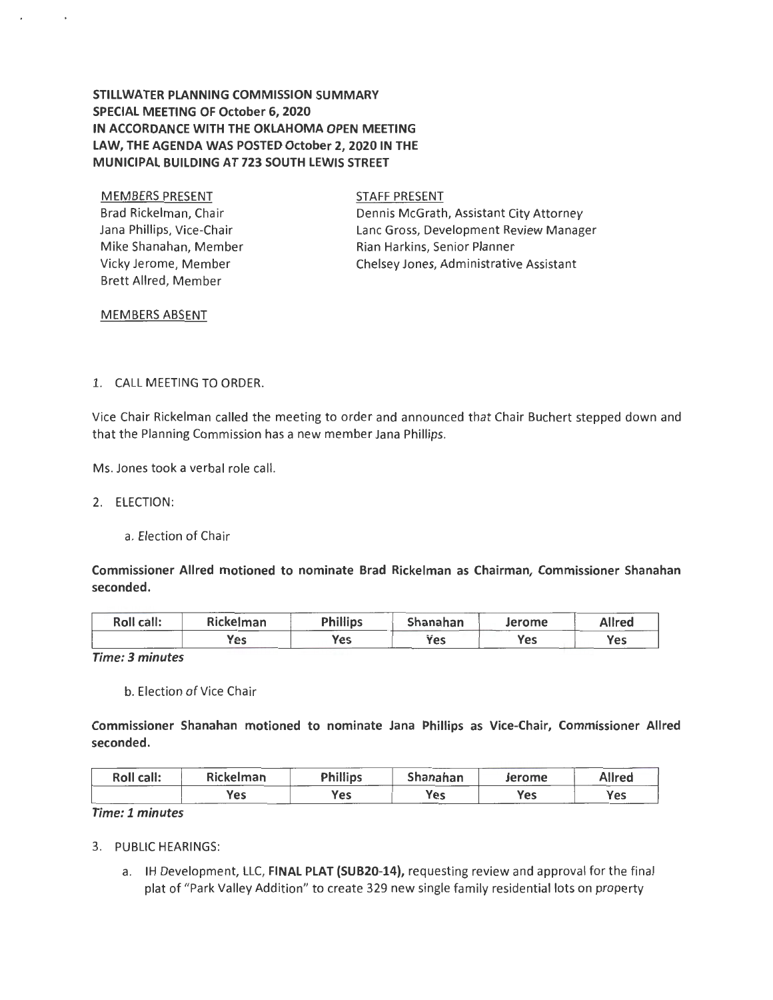# STILLWATER PLANNING COMMISSION SUMMARY SPECIAL MEETING OF October 6, 2020 IN ACCORDANCE WITH THE OKLAHOMA OPEN MEETING LAW, THE AGENDA WAS POSTED October 2, 2020 IN THE MUNICIPAL BUILDING AT 723 SOUTH LEWIS STREET

MEMBERS PRESENT Brad Rickelman, Chair Jana Phillips, Vice-Chair Mike Shanahan, Member Vicky Jerome, Member Brett Allred, Member

STAFF PRESENT

Dennis McGrath, Assistant City Attorney Lane Gross, Development Review Manager Rian Harkins, Senior Planner Chelsey Jones, Administrative Assistant

### MEMBERS ABSENT

### l. CALL MEETING TO ORDER.

Vice Chair Rickelman called the meeting to order and announced that Chair Buchert stepped down and that the Planning Commission has a new member Jana Phillips.

Ms. Jones took a verbal role call.

2. ELECTION:

a. Election of Chair

Commissioner Allred motioned to nominate Brad Rickelman as Chairman, Commissioner Shanahan seconded.

| Roll call: | Rickelman | <b>Phillips</b> | Shanahan | Jerome | Allred |
|------------|-----------|-----------------|----------|--------|--------|
|            | Yes       | Yes             | Yes      | Yes    | Yes    |

*Time: 3 minutes* 

b. Election of Vice Chair

Commissioner Shanahan motioned to nominate Jana Phillips as Vice-Chair, Commissioner Allred seconded.

| <b>Roll call:</b> | <b>Rickelman</b> | <b>Phillips</b> | Shanahan | Jerome     | Allred |
|-------------------|------------------|-----------------|----------|------------|--------|
|                   | Yes              | Yes             | Yes      | <b>Yes</b> | Yes    |

## *Time: 1 minutes*

- 3. PUBLIC HEARINGS:
	- a. IH Development, LLC, FINAL PLAT (SUB20-14), requesting review and approval for the final plat of "Park Valley Addition" to create 329 new single family residential lots on property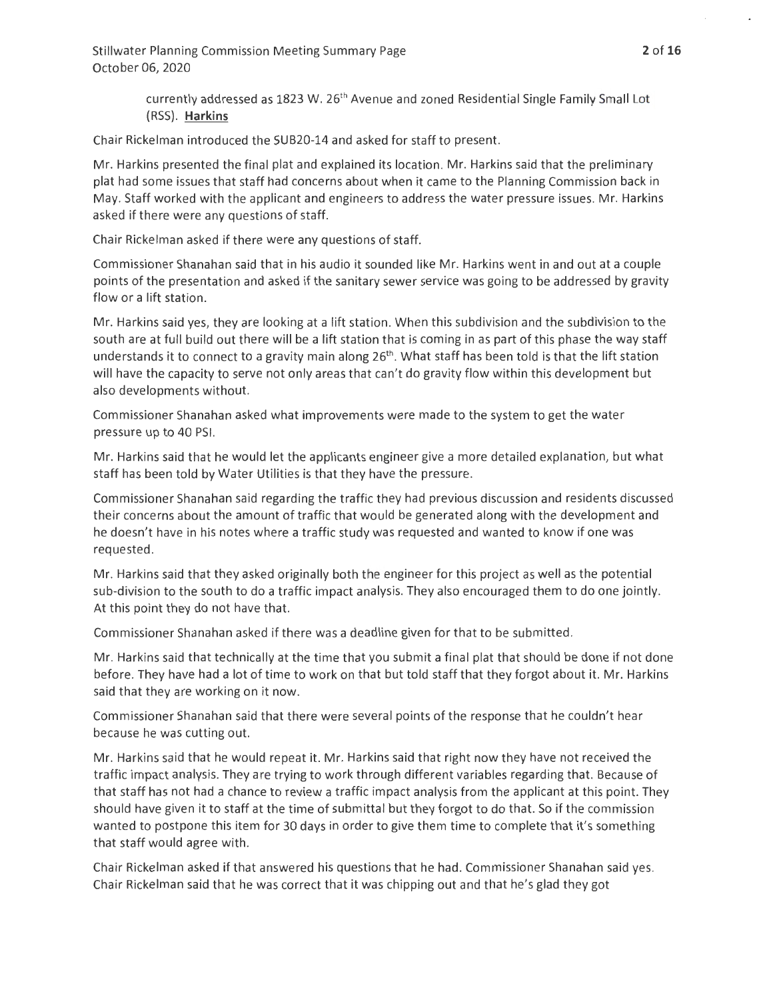currently addressed as 1823 W. 26<sup>th</sup> Avenue and zoned Residential Single Family Small Lot (RSS). **Harkins** 

Chair Rickelman introduced the SUB20-14 and asked for staff to present.

Mr. Harkins presented the final plat and explained its location. Mr. Harkins said that the preliminary plat had some issues that staff had concerns about when it came to the Planning Commission back in May. Staff worked with the applicant and engineers to address the water pressure issues. Mr. Harkins asked if there were any questions of staff.

Chair Rickelman asked if there were any questions of staff.

Commissioner Shanahan said that in his audio it sounded like Mr. Harkins went in and out at a couple points of the presentation and asked if the sanitary sewer service was going to be addressed by gravity flow or a lift station.

Mr. Harkins said yes, they are looking at a lift station. When this subdivision and the subdivision to the south are at full build out there will be a lift station that is coming in as part of this phase the way staff understands it to connect to a gravity main along  $26<sup>th</sup>$ . What staff has been told is that the lift station will have the capacity to serve not only areas that can't do gravity flow within this development but also developments without.

Commissioner Shanahan asked what improvements were made to the system to get the water pressure up to 40 PSI.

Mr. Harkins said that he would let the applicants engineer give a more detailed explanation, but what staff has been told by Water Utilities is that they have the pressure.

Commissioner Shanahan said regarding the traffic they had previous discussion and residents discussed their concerns about the amount of traffic that would be generated along with the development and he doesn't have in his notes where a traffic study was requested and wanted to know if one was requested .

Mr. Harkins said that they asked originally both the engineer for this project as well as the potential sub-division to the south to do a traffic impact analysis. They also encouraged them to do one jointly. At this point they do not have that.

Commissioner Shanahan asked if there was a deadline given for that to be submitted.

Mr. Harkins said that technically at the time that you submit a final plat that should be done if not done before. They have had a lot of time to work on that but told staff that they forgot about it. Mr. Harkins said that they are working on it now.

Commissioner Shanahan said that there were several points of the response that he couldn't hear because he was cutting out.

Mr. Harkins said that he would repeat it. Mr. Harkins said that right now they have not received the traffic impact analysis. They are trying to work through different variables regarding that. Because of that staff has not had a chance to review a traffic impact analysis from the applicant at this point. They should have given it to staff at the time of submittal but they forgot to do that. So if the commission wanted to postpone this item for 30 days in order to give them time to complete that it's something that staff would agree with.

Chair Rickelman asked if that answered his questions that he had. Commissioner Shanahan said yes. Chair Rickelman said that he was correct that it was chipping out and that he's glad they got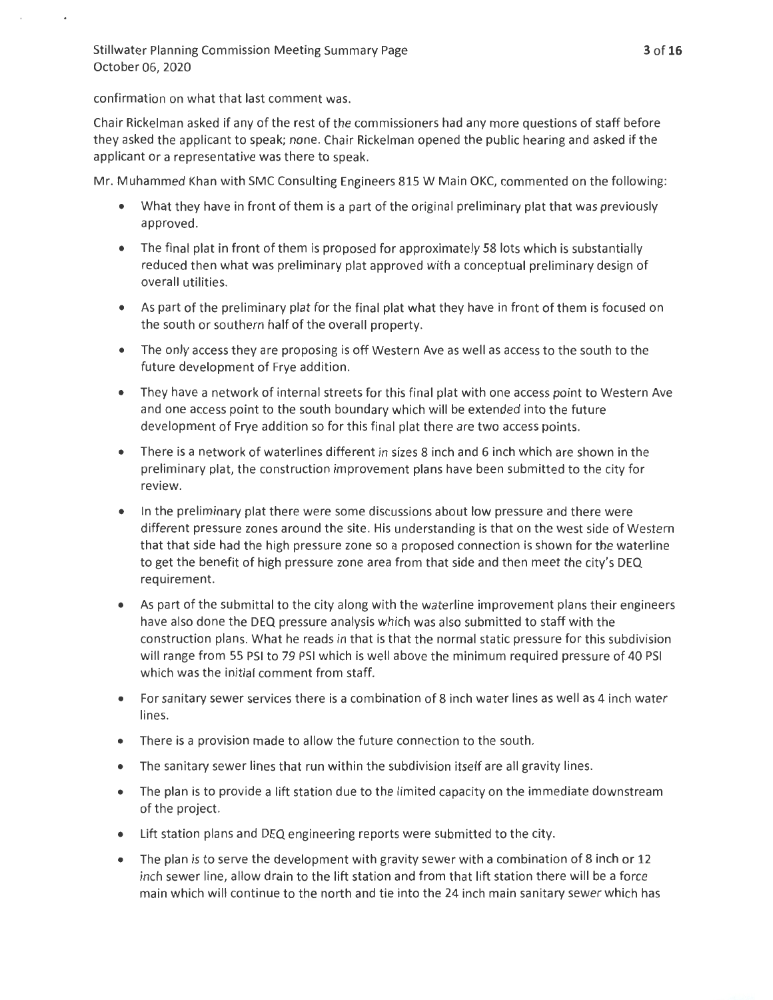## confirmation on what that last comment was.

Chair Rickelman asked if any of the rest of the commissioners had any more questions of staff before they asked the applicant to speak; none. Chair Rickelman opened the public hearing and asked if the applicant or a representative was there to speak.

Mr. Muhammed Khan with SMC Consulting Engineers 815 W Main OKC, commented on the following:

- What they have in front of them is a part of the original preliminary plat that was previously approved.
- The final plat in front of them is proposed for approximately 58 lots which is substantially reduced then what was preliminary plat approved with a conceptual preliminary design of overall utilities.
- As part of the preliminary plat for the final plat what they have in front of them is focused on the south or southern half of the overall property.
- The only access they are proposing is off Western Ave as well as access to the south to the future development of Frye addition.
- They have a network of internal streets for this final plat with one access point to Western Ave and one access point to the south boundary which will be extended into the future development of Frye addition so for this final plat there are two access points.
- There is a network of waterlines different in sizes 8 inch and 6 inch which are shown in the preliminary plat, the construction improvement plans have been submitted to the city for review.
- In the preliminary plat there were some discussions about low pressure and there were different pressure zones around the site. His understanding is that on the west side of Western that that side had the high pressure zone so a proposed connection is shown for the waterline to get the benefit of high pressure zone area from that side and then meet the city's DEQ requirement.
- As part of the submittal to the city along with the waterline improvement plans their engineers have also done the DEQ pressure analysis which was also submitted to staff with the construction plans. What he reads in that is that the normal static pressure for this subdivision will range from 55 PSI to 79 PSI which is well above the minimum required pressure of 40 PSI which was the initial comment from staff.
- For sanitary sewer services there is a combination of 8 inch water lines as well as 4 inch water lines.
- There is a provision made to allow the future connection to the south.
- The sanitary sewer lines that run within the subdivision itself are all gravity lines.
- The plan is to provide a lift station due to the limited capacity on the immediate downstream of the project.
- Lift station plans and DEQ engineering reports were submitted to the city.
- The plan is to serve the development with gravity sewer with a combination of 8 inch or 12 inch sewer line, allow drain to the lift station and from that lift station there will be a force main which will continue to the north and tie into the 24 inch main sanitary sewer which has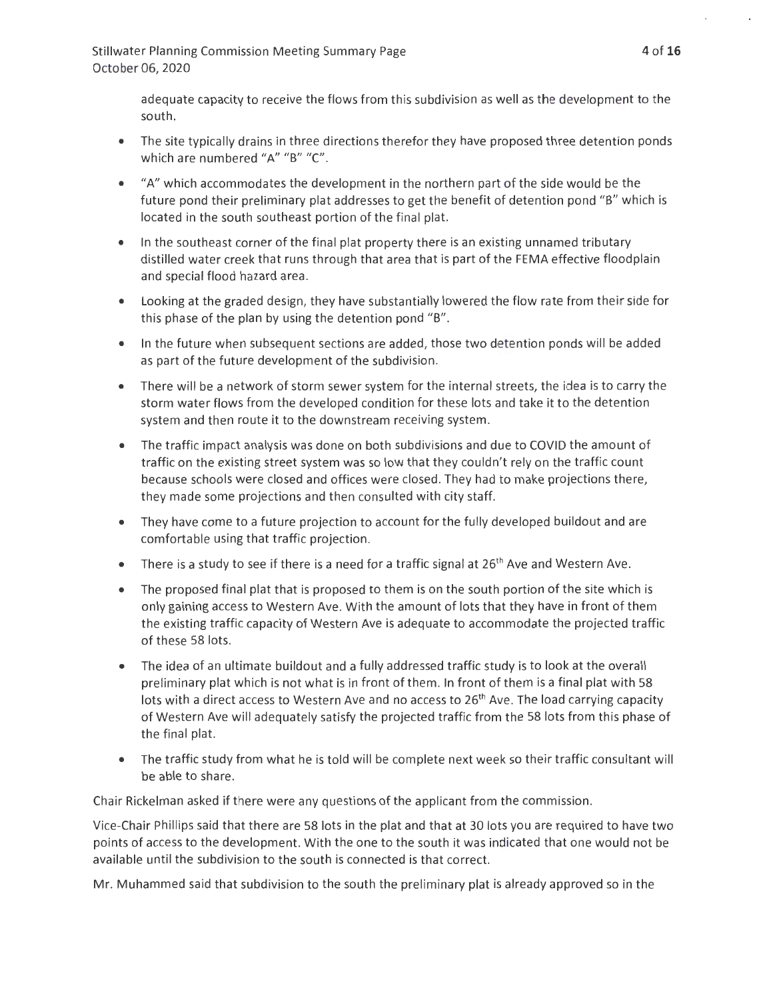> adequate capacity to receive the flows from this subdivision as well as the development to the south.

- The site typically drains in three directions therefor they have proposed three detention ponds which are numbered "A" "B" "C".
- "A" which accommodates the development in the northern part of the side would be the future pond their preliminary plat addresses to get the benefit of detention pond "B" which is located in the south southeast portion of the final plat.
- In the southeast corner of the final plat property there is an existing unnamed tributary distilled water creek that runs through that area that is part of the FEMA effective floodplain and special flood hazard area.
- Looking at the graded design, they have substantially lowered the flow rate from their side for this phase of the plan by using the detention pond "B".
- In the future when subsequent sections are added, those two detention ponds will be added as part of the future development of the subdivision.
- There will be a network of storm sewer system for the internal streets, the idea is to carry the storm water flows from the developed condition for these lots and take it to the detention system and then route it to the downstream receiving system.
- The traffic impact analysis was done on both subdivisions and due to COVID the amount of traffic on the existing street system was so low that they couldn't rely on the traffic count because schools were closed and offices were closed. They had to make projections there, they made some projections and then consulted with city staff.
- They have come to a future projection to account for the fully developed buildout and are comfortable using that traffic projection.
- There is a study to see if there is a need for a traffic signal at  $26<sup>th</sup>$  Ave and Western Ave.
- The proposed final plat that is proposed to them is on the south portion of the site which is only gaining access to Western Ave. With the amount of lots that they have in front of them the existing traffic capacity of Western Ave is adequate to accommodate the projected traffic of these 58 lots.
- The idea of an ultimate buildout and a fully addressed traffic study is to look at the overall preliminary plat which is not what is in front of them. In front of them is a final plat with 58 lots with a direct access to Western Ave and no access to 26<sup>th</sup> Ave. The load carrying capacity of Western Ave will adequately satisfy the projected traffic from the 58 lots from this phase of the final plat.
- The traffic study from what he is told will be complete next week so their traffic consultant will be able to share.

Chair Rickelman asked if there were any questions of the applicant from the commission.

Vice-Chair Phillips said that there are 58 lots in the plat and that at 30 lots you are required to have two points of access to the development. With the one to the south it was indicated that one would not be available until the subdivision to the south is connected is that correct.

Mr. Muhammed said that subdivision to the south the preliminary plat is already approved so in the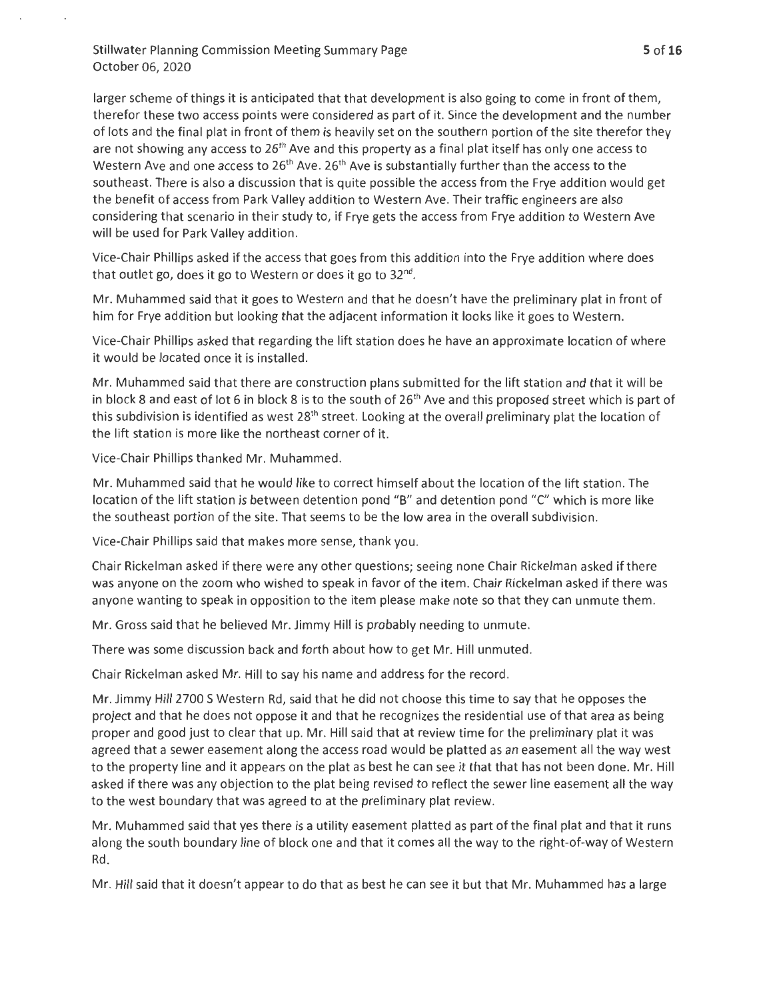larger scheme of things it is anticipated that that development is also going to come in front of them, therefor these two access points were considered as part of it. Since the development and the number of lots and the final plat in front of them is heavily set on the southern portion of the site therefor they are not showing any access to 26<sup>th</sup> Ave and this property as a final plat itself has only one access to Western Ave and one access to  $26<sup>th</sup>$  Ave.  $26<sup>th</sup>$  Ave is substantially further than the access to the southeast. There is also a discussion that is quite possible the access from the Frye addition would get the benefit of access from Park Valley addition to Western Ave. Their traffic engineers are also considering that scenario in their study to, if Frye gets the access from Frye addition to Western Ave will be used for Park Valley addition.

Vice-Chair Phillips asked if the access that goes from this addition into the Frye addition where does that outlet go, does it go to Western or does it go to 32<sup>nd</sup>.

Mr. Muhammed said that it goes to Western and that he doesn't have the preliminary plat in front of him for Frye addition but looking that the adjacent information it looks like it goes to Western.

Vice-Chair Phillips asked that regarding the lift station does he have an approximate location of where it would be located once it is installed.

Mr. Muhammed said that there are construction plans submitted for the lift station and that it will be in block 8 and east of lot 6 in block 8 is to the south of  $26<sup>th</sup>$  Ave and this proposed street which is part of this subdivision is identified as west 28<sup>th</sup> street. Looking at the overall preliminary plat the location of the lift station is more like the northeast corner of it.

Vice-Chair Phillips thanked Mr. Muhammed.

Mr. Muhammed said that he would like to correct himself about the location of the lift station. The location of the lift station is between detention pond "B" and detention pond "C" which is more like the southeast portion of the site. That seems to be the low area in the overall subdivision.

Vice-Chair Phillips said that makes more sense, thank you.

Chair Rickelman asked if there were any other questions; seeing none Chair Rickelman asked if there was anyone on the zoom who wished to speak in favor of the item. Chair Rickelman asked if there was anyone wanting to speak in opposition to the item please make note so that they can unmute them .

Mr. Gross said that he believed Mr. Jimmy Hill is probably needing to unmute.

There was some discussion back and forth about how to get Mr. Hill unmuted.

Chair Rickelman asked Mr. Hill to say his name and address for the record.

Mr. Jimmy Hill 2700 S Western Rd, said that he did not choose this time to say that he opposes the project and that he does not oppose it and that he recognizes the residential use of that area as being proper and good just to clear that up. Mr. Hill said that at review time for the preliminary plat it was agreed that a sewer easement along the access road would be platted as an easement all the way west to the property line and it appears on the plat as best he can see it that that has not been done. Mr. Hill asked if there was any objection to the plat being revised to reflect the sewer line easement all the way to the west boundary that was agreed to at the preliminary plat review.

Mr. Muhammed said that yes there is a utility easement platted as part of the final plat and that it runs along the south boundary line of block one and that it comes all the way to the right-of-way of Western Rd.

Mr. Hill said that it doesn't appear to do that as best he can see it but that Mr. Muhammed has a large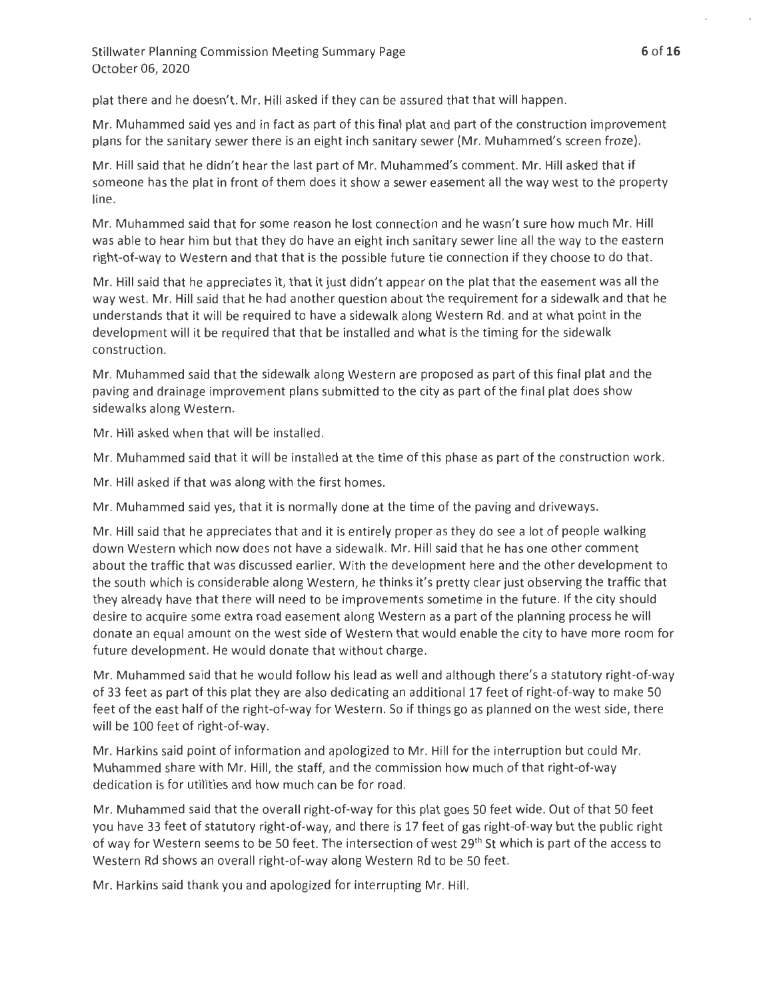plat there and he doesn't. Mr. Hill asked if they can be assured that that will happen.

Mr. Muhammed said yes and in fact as part of this final plat and part of the construction improvement plans for the sanitary sewer there is an eight inch sanitary sewer (Mr. Muhammed's screen froze).

Mr. Hill said that he didn't hear the last part of Mr. Muhammed's comment. Mr. Hill asked that if someone has the plat in front of them does it show a sewer easement all the way west to the property line.

Mr. Muhammed said that for some reason he lost connection and he wasn't sure how much Mr. Hill was able to hear him but that they do have an eight inch sanitary sewer line all the way to the eastern right-of-way to Western and that that is the possible future tie connection if they choose to do that.

Mr. Hill said that he appreciates it, that it just didn't appear on the plat that the easement was all the way west. Mr. Hill said that he had another question about the requirement for a sidewalk and that he understands that it will be required to have a sidewalk along Western Rd. and at what point in the development will it be required that that be installed and what is the timing for the sidewalk construction.

Mr. Muhammed said that the sidewalk along Western are proposed as part of this final plat and the paving and drainage improvement plans submitted to the city as part of the final plat does show sidewalks along Western.

Mr. Hill asked when that will be installed.

Mr. Muhammed said that it will be installed at the time of this phase as part of the construction work.

Mr. Hill asked if that was along with the first homes.

Mr. Muhammed said yes, that it is normally done at the time of the paving and driveways.

Mr. Hill said that he appreciates that and it is entirely proper as they do see a lot of people walking down Western which now does not have a sidewalk. Mr. Hill said that he has one other comment about the traffic that was discussed earlier. With the development here and the other development to the south which is considerable along Western, he thinks it's pretty clear just observing the traffic that they already have that there will need to be improvements sometime in the future. If the city should desire to acquire some extra road easement along Western as a part of the planning process he will donate an equal amount on the west side of Western that would enable the city to have more room for future development. He would donate that without charge.

Mr. Muhammed said that he would follow his lead as well and although there's a statutory right-of-way of 33 feet as part of this plat they are also dedicating an additional 17 feet of right-of-way to make 50 feet of the east half of the right-of-way for Western . So if things go as planned on the west side, there will be 100 feet of right-of-way.

Mr. Harkins said point of information and apologized to Mr. Hill for the interruption but could Mr. Muhammed share with Mr. Hill, the staff, and the commission how much of that right-of-way dedication is for utilities and how much can be for road.

Mr. Muhammed said that the overall right-of-way for this plat goes 50 feet wide. Out of that 50 feet you have 33 feet of statutory right-of-way, and there is 17 feet of gas right-of-way but the public right of way for Western seems to be 50 feet. The intersection of west 29<sup>th</sup> St which is part of the access to Western Rd shows an overall right-of-way along Western Rd to be 50 feet.

Mr. Harkins said thank you and apologized for interrupting Mr. Hill.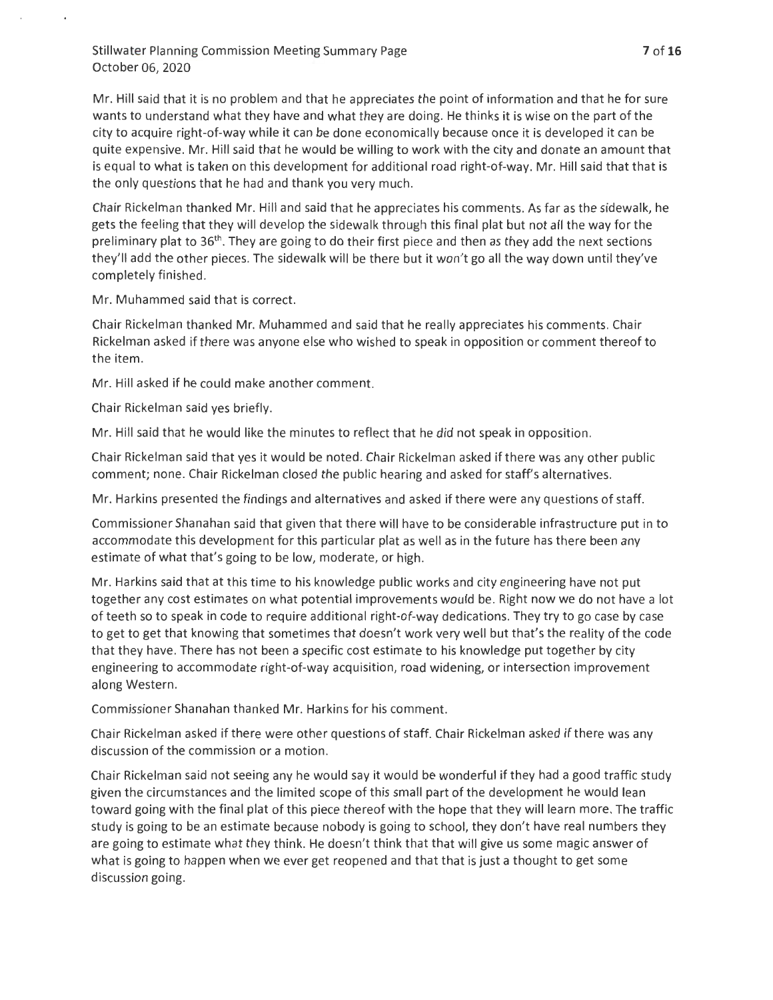Mr. Hill said that it is no problem and that he appreciates the point of information and that he for sure wants to understand what they have and what they are doing. He thinks it is wise on the part of the city to acquire right-of-way while it can be done economically because once it is developed it can be quite expensive. Mr. Hill said that he would be willing to work with the city and donate an amount that is equal to what is taken on this development for additional road right-of-way. Mr. Hill said that that is the only questions that he had and thank you very much.

Chair Rickelman thanked Mr. Hill and said that he appreciates his comments. As far as the sidewalk, he gets the feeling that they will develop the sidewalk through this final plat but not all the way for the preliminary plat to 36<sup>th</sup>. They are going to do their first piece and then as they add the next sections they'll add the other pieces. The sidewalk will be there but it won't go all the way down until they've completely finished .

Mr. Muhammed said that is correct.

Chair Rickelman thanked Mr. Muhammed and said that he really appreciates his comments. Chair Rickelman asked if there was anyone else who wished to speak in opposition or comment thereof to the item.

Mr. Hill asked if he could make another comment.

Chair Rickelman said yes briefly.

Mr. Hill said that he would like the minutes to reflect that he did not speak in opposition.

Chair Rickelman said that yes it would be noted. Chair Rickelman asked if there was any other public comment; none. Chair Rickelman closed the public hearing and asked for staff's alternatives.

Mr. Harkins presented the findings and alternatives and asked if there were any questions of staff.

Commissioner Shanahan said that given that there will have to be considerable infrastructure put in to accommodate this development for this particular plat as well as in the future has there been any estimate of what that's going to be low, moderate, or high.

Mr. Harkins said that at this time to his knowledge public works and city engineering have not put together any cost estimates on what potential improvements would be. Right now we do not have a lot of teeth so to speak in code to require additional right-of-way dedications. They try to go case by case to get to get that knowing that sometimes that doesn't work very well but that's the reality of the code that they have. There has not been a specific cost estimate to his knowledge put together by city engineering to accommodate right-of-way acquisition, road widening, or intersection improvement along Western.

Commissioner Shanahan thanked Mr. Harkins for his comment.

Chair Rickelman asked if there were other questions of staff. Chair Rickelman asked if there was any discussion of the commission or a motion.

Chair Rickelman said not seeing any he would say it would be wonderful if they had a good traffic study given the circumstances and the limited scope of this small part of the development he would lean toward going with the final plat of this piece thereof with the hope that they will learn more. The traffic study is going to be an estimate because nobody is going to school, they don't have real numbers they are going to estimate what they think. He doesn't think that that will give us some magic answer of what is going to happen when we ever get reopened and that that is just a thought to get some discussion going.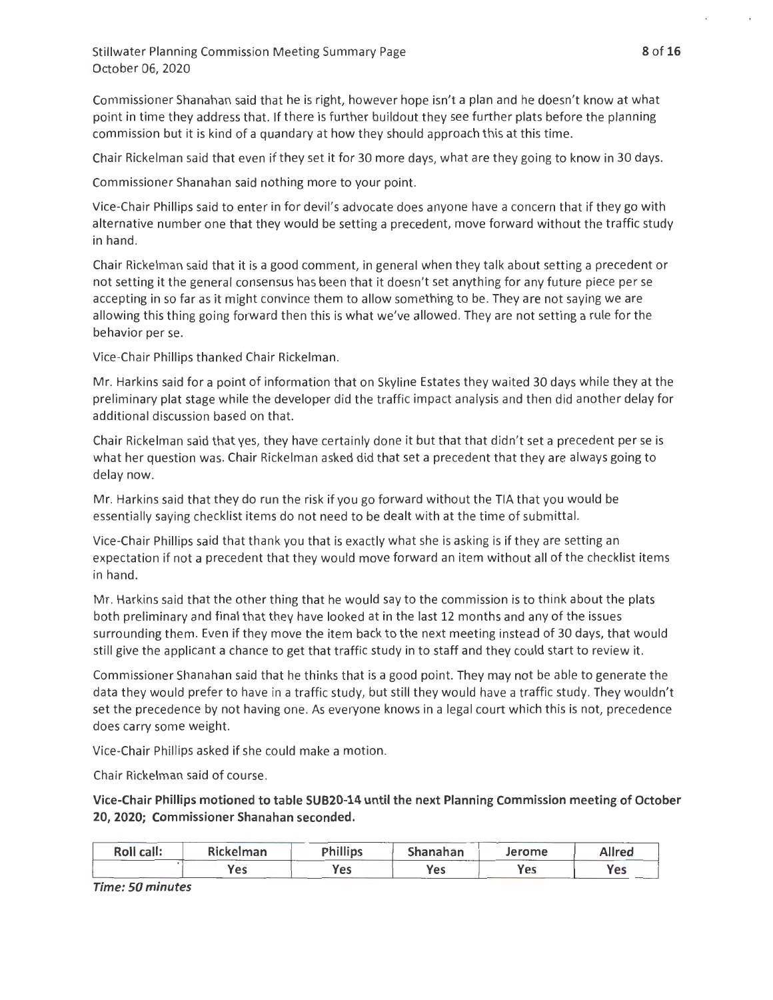Commissioner Shanahan said that he is right, however hope isn't a plan and he doesn't know at what point in time they address that. If there is further buildout they see further plats before the planning commission but it is kind of a quandary at how they should approach this at this time.

Chair Rickelman said that even if they set it for 30 more days, what are they going to know in 30 days.

Commissioner Shanahan said nothing more to your point.

Vice-Chair Phillips said to enter in for devil's advocate does anyone have a concern that if they go with alternative number one that they would be setting a precedent, move forward without the traffic study in hand.

Chair Rickelman said that it is a good comment, in general when they talk about setting a precedent or not setting it the general consensus has been that it doesn't set anything for any future piece per se accepting in so far as it might convince them to allow something to be. They are not saying we are allowing this thing going forward then this is what we've allowed. They are not setting a rule for the behavior per se.

Vice-Chair Phillips thanked Chair Rickelman.

Mr. Harkins said for a point of information that on Skyline Estates they waited 30 days while they at the preliminary plat stage while the developer did the traffic impact analysis and then did another delay for additional discussion based on that.

Chair Ricke Iman said that yes, they have certainly done it but that that didn't set a precedent per se is what her question was. Chair Rickelman asked did that set a precedent that they are always going to delay now.

Mr. Harkins said that they do run the risk if you go forward without the TIA that you would be essentially saying checklist items do not need to be dealt with at the time of submittal.

Vice-Chair Phillips said that thank you that is exactly what she is asking is if they are setting an expectation if not a precedent that they would move forward an item without all of the checklist items in hand.

Mr. Harkins said that the other thing that he would say to the commission is to think about the plats both preliminary and final that they have looked at in the last 12 months and any of the issues surrounding them . Even if they move the item back to the next meeting instead of 30 days, that would still give the applicant a chance to get that traffic study in to staff and they could start to review it.

Commissioner Shanahan said that he thinks that is a good point. They may not be able to generate the data they would prefer to have in a traffic study, but still they would have a traffic study. They wouldn't set the precedence by not having one. As everyone knows in a legal court which this is not, precedence does carry some weight.

Vice-Chair Phillips asked if she could make a motion.

Chair Rickelman said of course.

**Vice-Chair Phillips motioned to table SUB20-14 until the next Planning Commission meeting of October 20, 2020; Commissioner Shanahan seconded.** 

| Roll call: | Rickelman | <b>Phillips</b> | Shanahan | Jerome | Allred     |
|------------|-----------|-----------------|----------|--------|------------|
|            | Yes       | Yes             | Yes      | Yes    | <b>Ves</b> |

**Time: 50 minutes**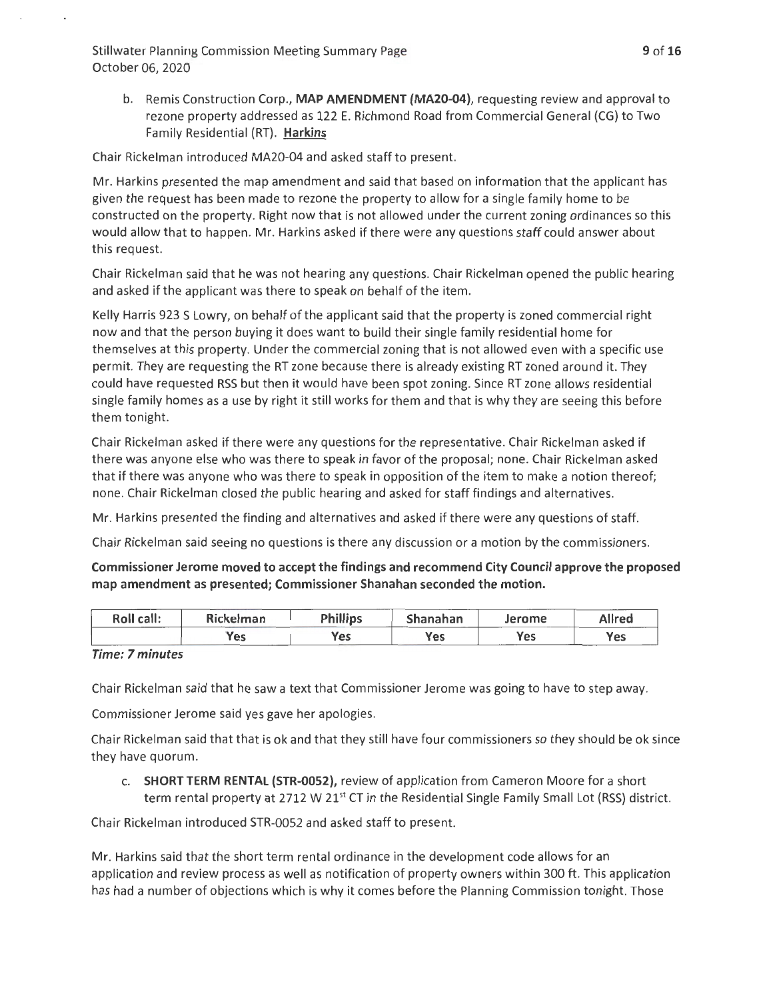b. Remis Construction Corp., **MAP AMENDMENT (MA20-04),** requesting review and approval to rezone property addressed as 122 E. Richmond Road from Commercial General (CG) to Two Family Residential (RT). **Harkins** 

Chair Rickelman introduced MA20-04 and asked staff to present.

Mr. Harkins presented the map amendment and said that based on information that the applicant has given the request has been made to rezone the property to allow for a single family home to be constructed on the property. Right now that is not allowed under the current zoning ordinances so this would allow that to happen. Mr. Harkins asked if there were any questions staff could answer about this request.

Chair Rickelman said that he was not hearing any questions. Chair Rickelman opened the public hearing and asked if the applicant was there to speak on behalf of the item.

Kelly Harris 923 S Lowry, on behalf of the applicant said that the property is zoned commercial right now and that the person buying it does want to build their single family residential home for themselves at this property. Under the commercial zoning that is not allowed even with a specific use permit. They are requesting the RT zone because there is already existing RT zoned around it. They could have requested RSS but then it would have been spot zoning. Since RT zone allows residential single family homes as a use by right it still works for them and that is why they are seeing this before them tonight.

Chair Rickelman asked if there were any questions for the representative. Chair Rickelman asked if there was anyone else who was there to speak in favor of the proposal; none. Chair Rickelman asked that if there was anyone who was there to speak in opposition of the item to make a notion thereof; none. Chair Rickelman closed the public hearing and asked for staff findings and alternatives.

Mr. Harkins presented the finding and alternatives and asked if there were any questions of staff.

Chair Rickelman said seeing no questions is there any discussion or a motion by the commissioners.

**Commissioner Jerome moved to accept the findings and recommend City Council approve the proposed map amendment as presented; Commissioner Shanahan seconded the motion.** 

| Roll call: | Rickelman | <b>Phillips</b> | Shanahan | Jerome | Allred |
|------------|-----------|-----------------|----------|--------|--------|
|            | Yes       | Yes.            | Yes      | Yes    | Yes    |

#### **Time: 7 minutes**

Chair Rickelman said that he saw a text that Commissioner Jerome was going to have to step away.

Commissioner Jerome said yes gave her apologies.

Chair Rickelman said that that is ok and that they still have four commissioners so they should be ok since they have quorum.

c. **SHORT TERM RENTAL (STR-0052),** review of application from Cameron Moore for a short term rental property at 2712 W 21<sup>st</sup> CT in the Residential Single Family Small Lot (RSS) district.

Chair Rickelman introduced STR-0052 and asked staff to present.

Mr. Harkins said that the short term rental ordinance in the development code allows for an application and review process as well as notification of property owners within 300 ft. This application has had a number of objections which is why it comes before the Planning Commission tonight. Those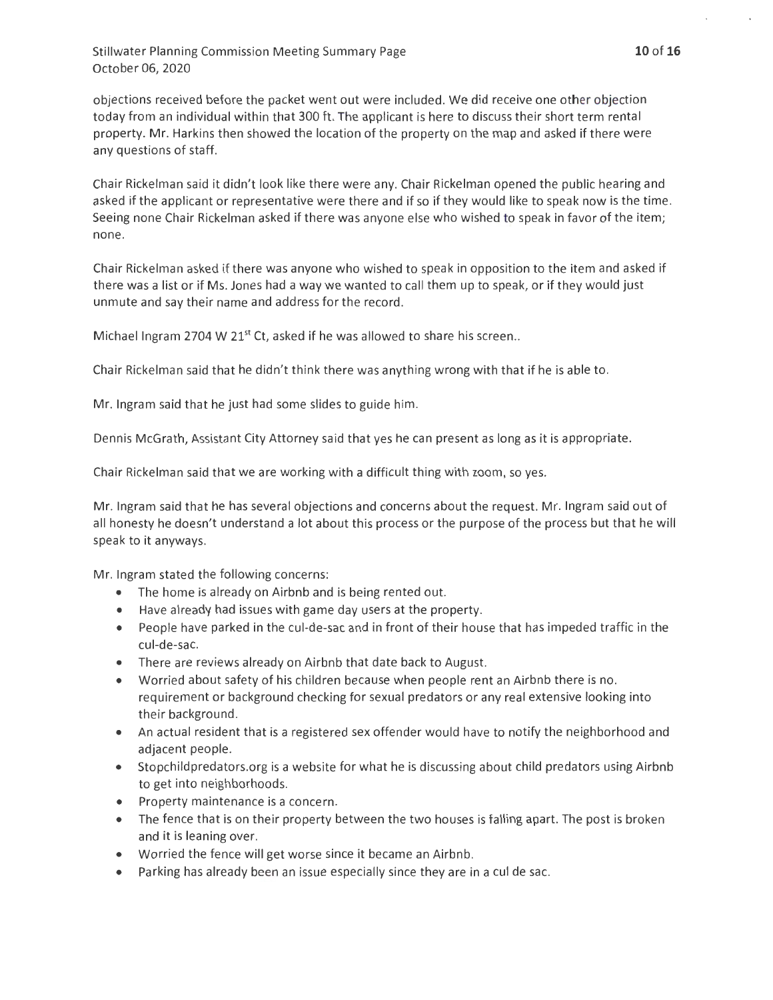objections received before the packet went out were included. We did receive one other objection today from an individual within that 300 ft. The applicant is here to discuss their short term rental property. Mr. Harkins then showed the location of the property on the map and asked if there were any questions of staff.

Chair Rickelman said it didn't look like there were any. Chair Rickelman opened the public hearing and asked if the applicant or representative were there and if so if they would like to speak now is the time. Seeing none Chair Rickelman asked if there was anyone else who wished to speak in favor of the item; none.

Chair Rickelman asked if there was anyone who wished to speak in opposition to the item and asked if there was a list or if Ms. Jones had a way we wanted to call them up to speak, or if they would just unmute and say their name and address for the record.

Michael Ingram 2704 W 21 $^{\text{st}}$  Ct, asked if he was allowed to share his screen..

Chair Rickelman said that he didn't think there was anything wrong with that if he is able to.

Mr. Ingram said that he just had some slides to guide him.

Dennis McGrath, Assistant City Attorney said that yes he can present as long as it is appropriate.

Chair Rickelman said that we are working with a difficult thing with zoom, so yes.

Mr. Ingram said that he has several objections and concerns about the request. Mr. Ingram said out of all honesty he doesn't understand a lot about this process or the purpose of the process but that he will speak to it anyways.

Mr. Ingram stated the following concerns:

- The home is already on Airbnb and is being rented out.
- Have already had issues with game day users at the property.
- People have parked in the cul-de-sac and in front of their house that has impeded traffic in the cul-de-sac.
- There are reviews already on Airbnb that date back to August.
- Worried about safety of his children because when people rent an Airbnb there is no. requirement or background checking for sexual predators or any real extensive looking into their background.
- An actual resident that is a registered sex offender would have to notify the neighborhood and adjacent people.
- Stopchildpredators.org is a website for what he is discussing about child predators using Airbnb to get into neighborhoods.
- Property maintenance is a concern.
- The fence that is on their property between the two houses is falling apart. The post is broken and it is leaning over.
- Worried the fence will get worse since it became an Airbnb.
- Parking has already been an issue especially since they are in a cul de sac.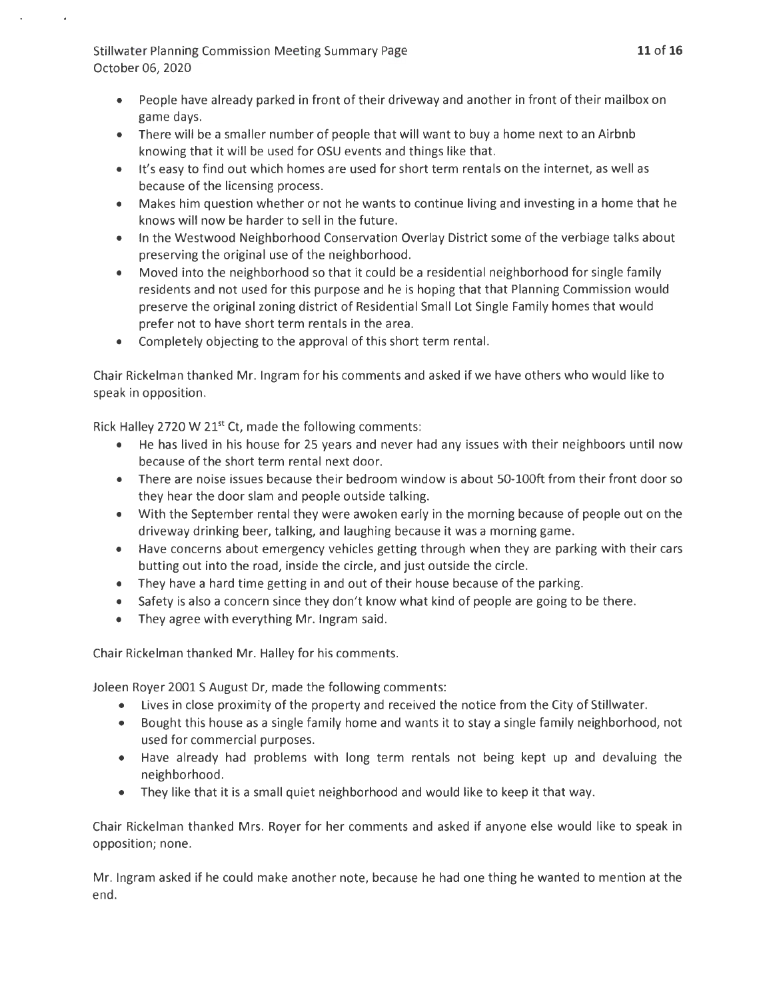- People have already parked in front of their driveway and another in front of their mailbox on game days.
- There will be a smaller number of people that will want to buy a home next to an Airbnb knowing that it will be used for OSU events and things like that.
- It's easy to find out which homes are used for short term rentals on the internet, as well as because of the licensing process.
- Makes him question whether or not he wants to continue living and investing in a home that he knows will now be harder to sell in the future.
- In the Westwood Neighborhood Conservation Overlay District some of the verbiage talks about preserving the original use of the neighborhood.
- Moved into the neighborhood so that it could be a residential neighborhood for single family residents and not used for this purpose and he is hoping that that Planning Commission would preserve the original zoning district of Residential Small Lot Single Family homes that would prefer not to have short term rentals in the area.
- Completely objecting to the approval of this short term rental.

Chair Rickelman thanked Mr. Ingram for his comments and asked if we have others who would like to speak in opposition.

Rick Halley 2720 W 21 $st$  Ct, made the following comments:

- He has lived in his house for 25 years and never had any issues with their neighboors until now because of the short term rental next door.
- There are noise issues because their bedroom window is about 50-lOOft from their front door so they hear the door slam and people outside talking.
- With the September rental they were awoken early in the morning because of people out on the driveway drinking beer, talking, and laughing because it was a morning game.
- Have concerns about emergency vehicles getting through when they are parking with their cars butting out into the road, inside the circle, and just outside the circle.
- They have a hard time getting in and out of their house because of the parking.
- Safety is also a concern since they don't know what kind of people are going to be there.
- They agree with everything Mr. Ingram said.

Chair Rickelman thanked Mr. Halley for his comments.

Joleen Royer 2001 S August Dr, made the following comments:

- Lives in close proximity of the property and received the notice from the City of Stillwater.
- Bought this house as a single family home and wants it to stay a single family neighborhood, not used for commercial purposes.
- Have already had problems with long term rentals not being kept up and devaluing the neighborhood.
- They like that it is a small quiet neighborhood and would like to keep it that way.

Chair Rickelman thanked Mrs. Royer for her comments and asked if anyone else would like to speak in opposition; none.

Mr. Ingram asked if he could make another note, because he had one thing he wanted to mention at the end.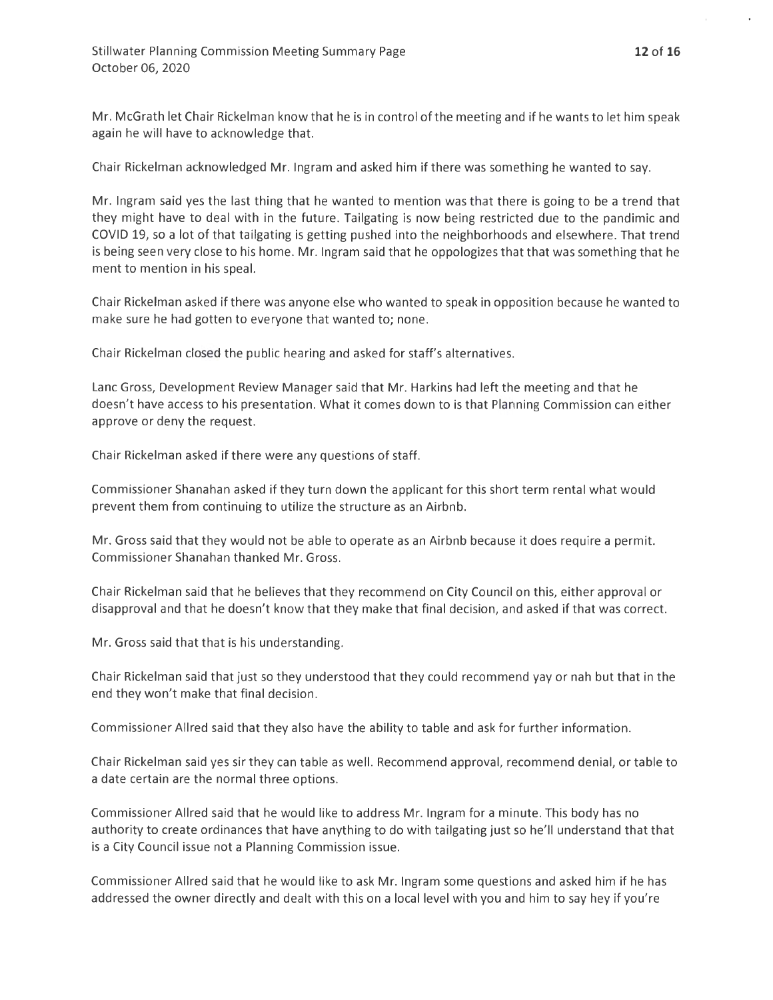Mr. McGrath let Chair Rickelman know that he is in control of the meeting and if he wants to let him speak again he will have to acknowledge that.

Chair Rickelman acknowledged Mr. Ingram and asked him if there was something he wanted to say.

Mr. Ingram said yes the last thing that he wanted to mention was that there is going to be a trend that they might have to deal with in the future. Tailgating is now being restricted due to the pandimic and COVID 19, so a lot of that tailgating is getting pushed into the neighborhoods and elsewhere. That trend is being seen very close to his home. Mr. Ingram said that he oppologizes that that was something that he ment to mention in his speal.

Chair Rickelman asked if there was anyone else who wanted to speak in opposition because he wanted to make sure he had gotten to everyone that wanted to; none.

Chair Rickelman closed the public hearing and asked for staff's alternatives.

Lane Gross, Development Review Manager said that Mr. Harkins had left the meeting and that he doesn't have access to his presentation. What it comes down to is that Planning Commission can either approve or deny the request.

Chair Rickelman asked if there were any questions of staff.

Commissioner Shanahan asked if they turn down the applicant for this short term rental what would prevent them from continuing to utilize the structure as an Airbnb.

Mr. Gross said that they would not be able to operate as an Airbnb because it does require a permit. Commissioner Shanahan thanked Mr. Gross.

Chair Rickelman said that he believes that they recommend on City Council on this, either approval or disapproval and that he doesn't know that they make that final decision, and asked if that was correct.

Mr. Gross said that that is his understanding.

Chair Rickelman said that just so they understood that they could recommend yay or nah but that in the end they won't make that final decision.

Commissioner Allred said that they also have the ability to table and ask for further information.

Chair Rickelman said yes sir they can table as well. Recommend approval, recommend denial, or table to a date certain are the normal three options.

Commissioner Allred said that he would like to address Mr. Ingram for a minute. This body has no authority to create ordinances that have anything to do with tailgating just so he'll understand that that is a City Council issue not a Planning Commission issue.

Commissioner Allred said that he would like to ask Mr. Ingram some questions and asked him if he has addressed the owner directly and dealt with this on a local level with you and him to say hey if you're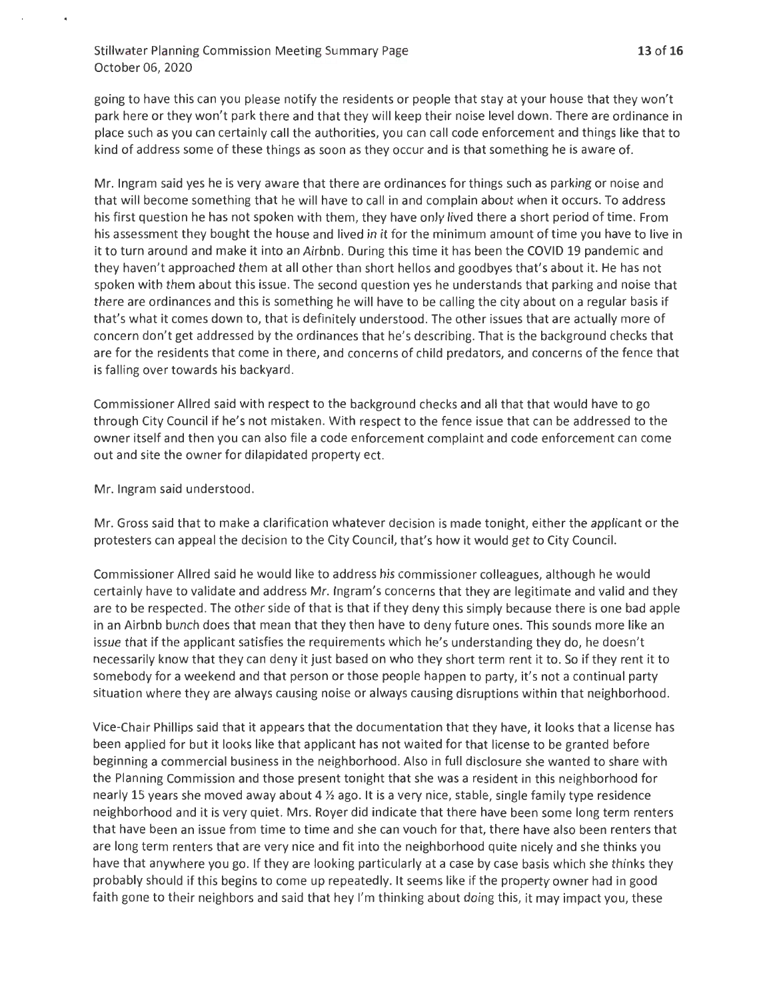going to have this can you please notify the residents or people that stay at your house that they won't park here or they won't park there and that they will keep their noise level down. There are ordinance in place such as you can certainly call the authorities, you can call code enforcement and things like that to kind of address some of these things as soon as they occur and is that something he is aware of.

Mr. Ingram said yes he is very aware that there are ordinances for things such as parking or noise and that will become something that he will have to call in and complain about when it occurs. To address his first question he has not spoken with them, they have only lived there a short period of time. From his assessment they bought the house and lived in it for the minimum amount of time you have to live in it to turn around and make it into an Airbnb. During this time it has been the COVID 19 pandemic and they haven't approached them at all other than short hellos and goodbyes that's about it. He has not spoken with them about this issue. The second question yes he understands that parking and noise that there are ordinances and this is something he will have to be calling the city about on a regular basis if that's what it comes down to, that is definitely understood. The other issues that are actually more of concern don't get addressed by the ordinances that he's describing. That is the background checks that are for the residents that come in there, and concerns of child predators, and concerns of the fence that is falling over towards his backyard.

Commissioner Allred said with respect to the background checks and all that that would have to go through City Council if he's not mistaken. With respect to the fence issue that can be addressed to the owner itself and then you can also file a code enforcement complaint and code enforcement can come out and site the owner for dilapidated property ect.

Mr. Ingram said understood.

Mr. Gross said that to make a clarification whatever decision is made tonight, either the applicant or the protesters can appeal the decision to the City Council, that's how it would get to City Council.

Commissioner Allred said he would like to address his commissioner colleagues, although he would certainly have to validate and address Mr. Ingram's concerns that they are legitimate and valid and they are to be respected. The other side of that is that if they deny this simply because there is one bad apple in an Airbnb bunch does that mean that they then have to deny future ones. This sounds more like an issue that if the applicant satisfies the requirements which he's understanding they do, he doesn't necessarily know that they can deny it just based on who they short term rent it to. So if they rent it to somebody for a weekend and that person or those people happen to party, it's not a continual party situation where they are always causing noise or always causing disruptions within that neighborhood.

Vice-Chair Phillips said that it appears that the documentation that they have, it looks that a license has been applied for but it looks like that applicant has not waited for that license to be granted before beginning a commercial business in the neighborhood. Also in full disclosure she wanted to share with the Planning Commission and those present tonight that she was a resident in this neighborhood for nearly 15 years she moved away about 4  $\frac{1}{2}$  ago. It is a very nice, stable, single family type residence neighborhood and it is very quiet. Mrs. Royer did indicate that there have been some long term renters that have been an issue from time to time and she can vouch for that, there have also been renters that are long term renters that are very nice and fit into the neighborhood quite nicely and she thinks you have that anywhere you go. If they are looking particularly at a case by case basis which she thinks they probably should if this begins to come up repeatedly. It seems like if the property owner had in good faith gone to their neighbors and said that hey I'm thinking about doing this, it may impact you, these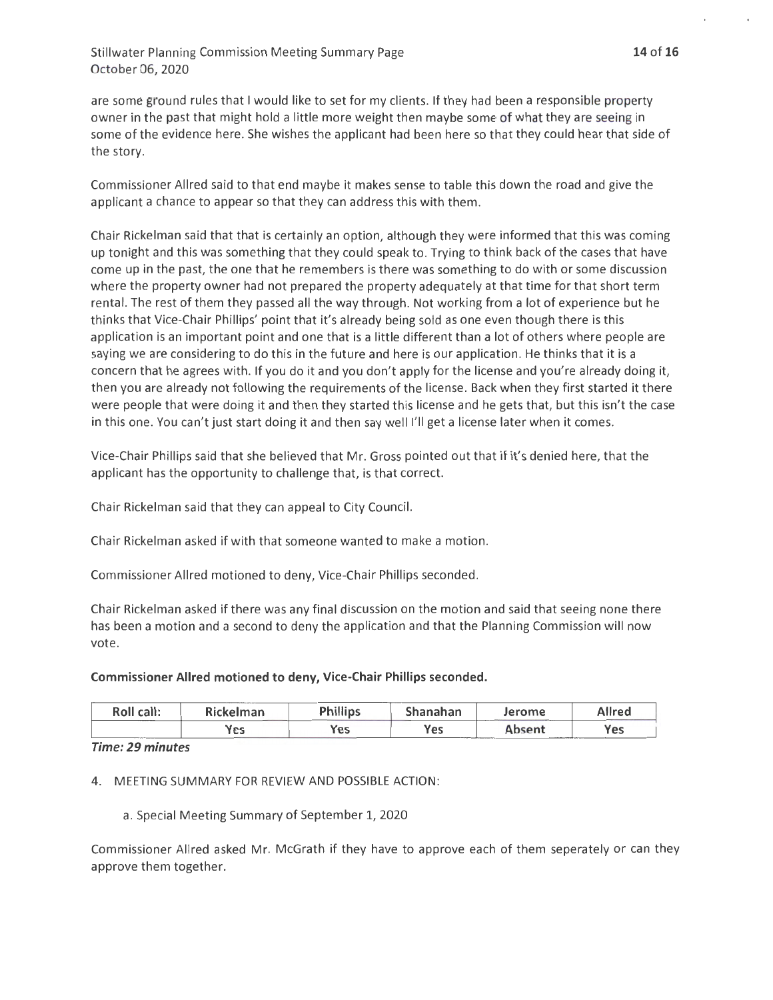are some ground rules that I would like to set for my clients. If they had been a responsible property owner in the past that might hold a little more weight then maybe some of what they are seeing in some of the evidence here. She wishes the applicant had been here so that they could hear that side of the story.

Commissioner Allred said to that end maybe it makes sense to table this down the road and give the applicant a chance to appear so that they can address this with them.

Chair Rickelman said that that is certainly an option, although they were informed that this was coming up tonight and this was something that they could speak to. Trying to think back of the cases that have come up in the past, the one that he remembers is there was something to do with or some discussion where the property owner had not prepared the property adequately at that time for that short term rental. The rest of them they passed all the way through. Not working from a lot of experience but he thinks that Vice-Chair Phillips' point that it's already being sold as one even though there is this application is an important point and one that is a little different than a lot of others where people are saying we are considering to do this in the future and here is our application. He thinks that it is a concern that he agrees with . If you do it and you don't apply for the license and you're already doing it, then you are already not following the requirements of the license. Back when they first started it there were people that were doing it and then they started this license and he gets that, but this isn't the case in this one. You can't just start doing it and then say well I'll get a license later when it comes.

Vice-Chair Phillips said that she believed that Mr. Gross pointed out that if it's denied here, that the applicant has the opportunity to challenge that, is that correct.

Chair Rickelman said that they can appeal to City Council.

Chair Rickelman asked if with that someone wanted to make a motion.

Commissioner Allred motioned to deny, Vice-Chair Phillips seconded.

Chair Rickelman asked if there was any final discussion on the motion and said that seeing none there has been a motion and a second to deny the application and that the Planning Commission will now vote.

**Commissioner Allred motioned to deny, Vice-Chair Phillips seconded.** 

| Roll call: | Rickelman | <b>Phillips</b> | Shanahan | Jerome | Allred |
|------------|-----------|-----------------|----------|--------|--------|
|            | Yes       | Yes             | Yes      | Absent | 'es    |

*Time: 29 minutes* 

4. MEETING SUMMARY FOR REVIEW AND POSSIBLE ACTION:

a. Special Meeting Summary of September 1, 2020

Commissioner Allred asked Mr. McGrath if they have to approve each of them seperately or can they approve them together.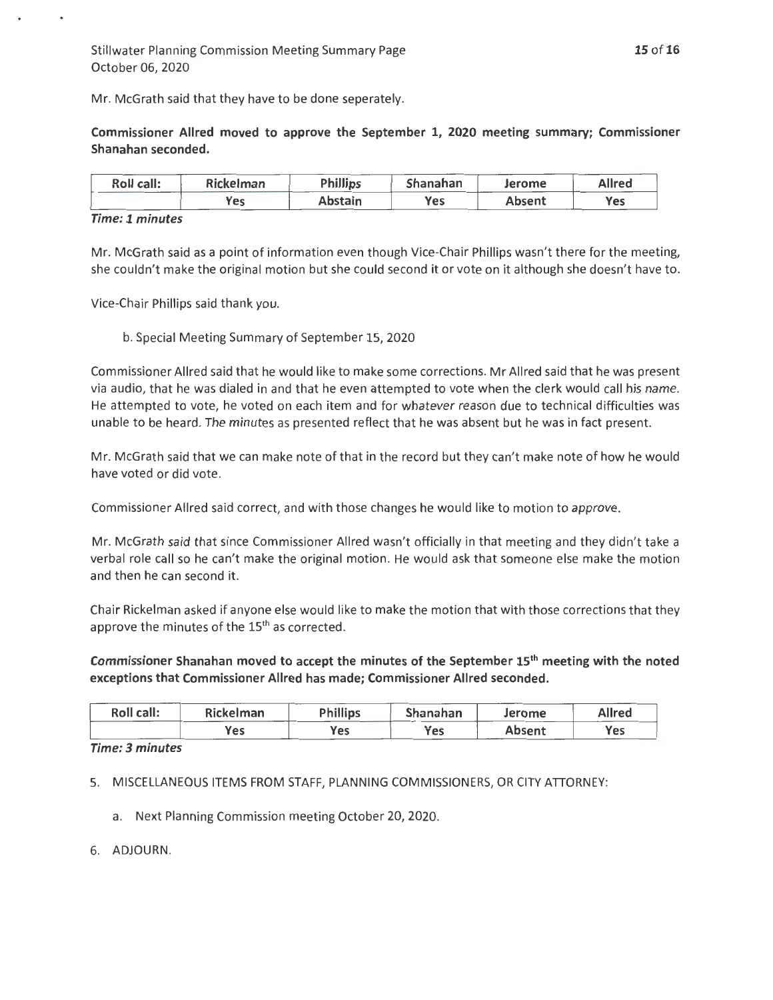Mr. McGrath said that they have to be done seperately.

Commissioner Allred moved to approve the September 1, 2020 meeting summary; Commissioner Shanahan seconded.

| Roll call: | <b>Rickelman</b> | <b>Phillips</b> | Shanahan | Jerome | Allred |
|------------|------------------|-----------------|----------|--------|--------|
|            | res              | Abstain         | Yes      | Absent | Yes    |

#### *Time: 1 minutes*

Mr. McGrath said as a point of information even though Vice-Chair Phillips wasn't there for the meeting, she couldn't make the original motion but she could second it or vote on it although she doesn't have to.

Vice-Chair Phillips said thank you.

b. Special Meeting Summary of September 15, 2020

Commissioner Allred said that he would like to make some corrections. Mr Allred said that he was present via audio, that he was dialed in and that he even attempted to vote when the clerk would call his name. He attempted to vote, he voted on each item and for whatever reason due to technical difficulties was unable to be heard. The minutes as presented reflect that he was absent but he was in fact present.

Mr. McGrath said that we can make note of that in the record but they can't make note of how he would have voted or did vote.

Commissioner Allred said correct, and with those changes he would like to motion to approve.

Mr. McGrath said that since Commissioner Allred wasn't officially in that meeting and they didn't take a verbal role call so he can't make the original motion. He would ask that someone else make the motion and then he can second it.

Chair Rickelman asked if anyone else would like to make the motion that with those corrections that they approve the minutes of the 15<sup>th</sup> as corrected.

Commissioner Shanahan moved to accept the minutes of the September 15th meeting with the noted exceptions that Commissioner Allred has made; Commissioner Allred seconded.

| Roll call: | Rickelman | <b>Phillips</b> | Shanahan | Jerome | <b>Allred</b> |
|------------|-----------|-----------------|----------|--------|---------------|
|            | Yes       | Yes             | Yes      | Absent | Yes           |

#### *Time: 3 minutes*

5. MISCELLANEOUS ITEMS FROM STAFF, PLANNING COMMISSIONERS, OR CITY ATIORNEY:

- a. Next Planning Commission meeting October 20, 2020.
- 6. ADJOURN.